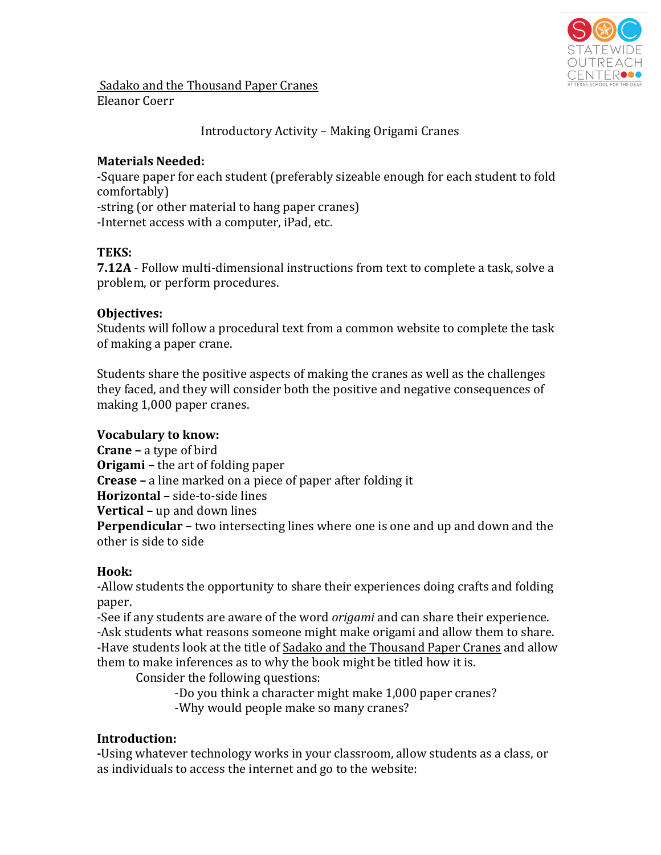

Sadako and the Thousand Paper Cranes Eleanor Coerr

Introductory Activity – Making Origami Cranes

## **Materials Needed:**

-Square paper for each student (preferably sizeable enough for each student to fold comfortably)

-string (or other material to hang paper cranes) -Internet access with a computer, iPad, etc.

## **TEKS:**

**7.12A** - Follow multi-dimensional instructions from text to complete a task, solve a problem, or perform procedures.

## **Objectives:**

Students will follow a procedural text from a common website to complete the task of making a paper crane.

Students share the positive aspects of making the cranes as well as the challenges they faced, and they will consider both the positive and negative consequences of making 1,000 paper cranes.

## **Vocabulary to know:**

**Crane** – a type of bird **Origami** – the art of folding paper **Crease** – a line marked on a piece of paper after folding it **Horizontal** – side-to-side lines **Vertical** – up and down lines **Perpendicular** – two intersecting lines where one is one and up and down and the other is side to side

## **Hook:**

-Allow students the opportunity to share their experiences doing crafts and folding paper.

-See if any students are aware of the word *origami* and can share their experience. -Ask students what reasons someone might make origami and allow them to share. -Have students look at the title of Sadako and the Thousand Paper Cranes and allow them to make inferences as to why the book might be titled how it is.

Consider the following questions:

-Do you think a character might make 1,000 paper cranes? -Why would people make so many cranes?

# **Introduction:**

-Using whatever technology works in your classroom, allow students as a class, or as individuals to access the internet and go to the website: